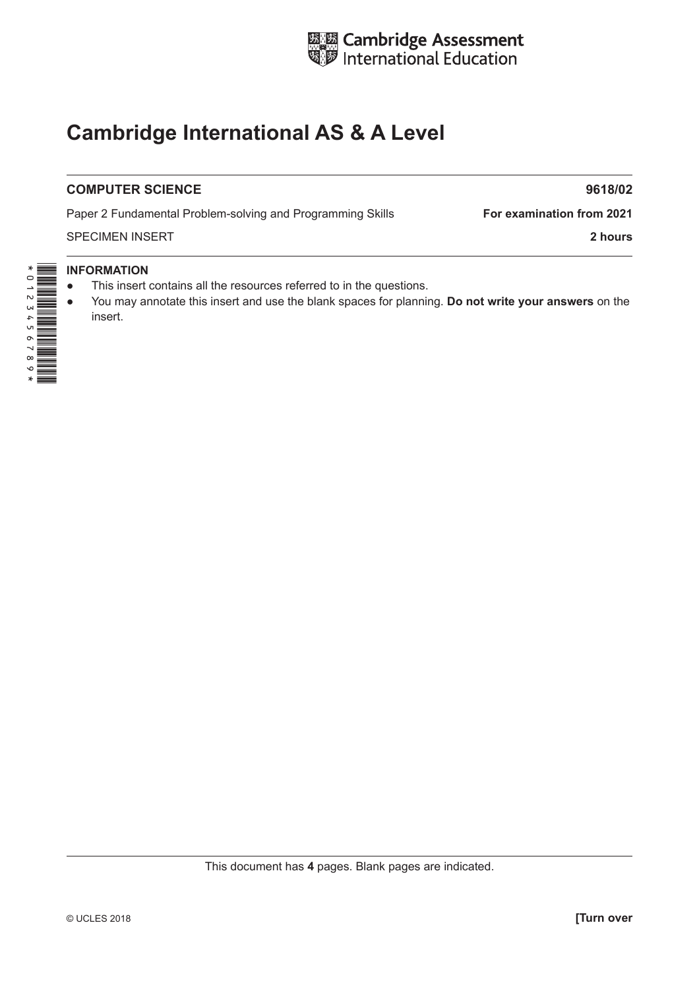

# **Cambridge International AS & A Level**

## **COMPUTER SCIENCE** 9618/02

Paper 2 Fundamental Problem-solving and Programming Skills **For examination from 2021** 

SPECIMEN INSERT **2 hours**

## **INFORMATION**

- This insert contains all the resources referred to in the questions.
- You may annotate this insert and use the blank spaces for planning. **Do not write your answers** on the insert.

This document has **4** pages. Blank pages are indicated.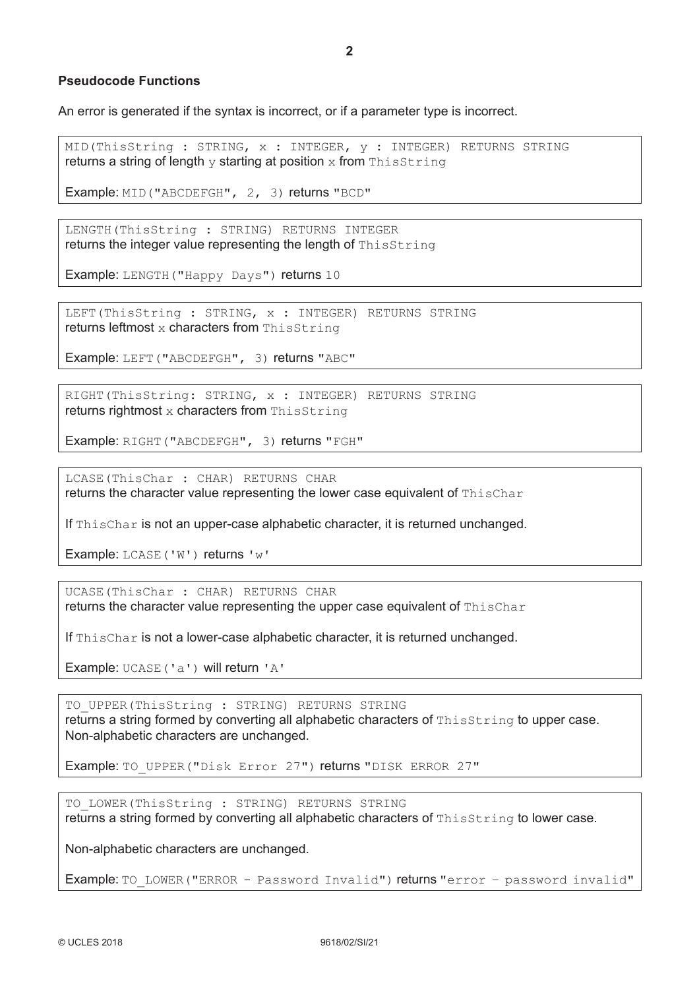### **Pseudocode Functions**

An error is generated if the syntax is incorrect, or if a parameter type is incorrect.

MID(ThisString : STRING, x : INTEGER, y : INTEGER) RETURNS STRING returns a string of length  $y$  starting at position  $x$  from ThisString

Example: MID("ABCDEFGH", 2, 3) returns "BCD"

LENGTH(ThisString : STRING) RETURNS INTEGER returns the integer value representing the length of ThisString

Example: LENGTH("Happy Days") returns 10

LEFT(ThisString : STRING, x : INTEGER) RETURNS STRING returns leftmost x characters from ThisString

Example: LEFT("ABCDEFGH", 3) returns "ABC"

RIGHT(ThisString: STRING, x : INTEGER) RETURNS STRING returns rightmost  $x$  characters from ThisString

Example: RIGHT("ABCDEFGH", 3) returns "FGH"

LCASE(ThisChar : CHAR) RETURNS CHAR returns the character value representing the lower case equivalent of  $\text{ThisChar}$ 

If ThisChar is not an upper-case alphabetic character, it is returned unchanged.

Example: LCASE('W') returns 'w'

UCASE(ThisChar : CHAR) RETURNS CHAR returns the character value representing the upper case equivalent of ThisChar

If ThisChar is not a lower-case alphabetic character, it is returned unchanged.

Example: UCASE('a') will return 'A'

TO UPPER(ThisString : STRING) RETURNS STRING returns a string formed by converting all alphabetic characters of ThisString to upper case. Non-alphabetic characters are unchanged.

Example: TO\_UPPER("Disk Error 27") returns "DISK ERROR 27"

TO LOWER(ThisString : STRING) RETURNS STRING returns a string formed by converting all alphabetic characters of ThisString to lower case.

Non-alphabetic characters are unchanged.

Example: TO\_LOWER("ERROR - Password Invalid") returns "error - password invalid"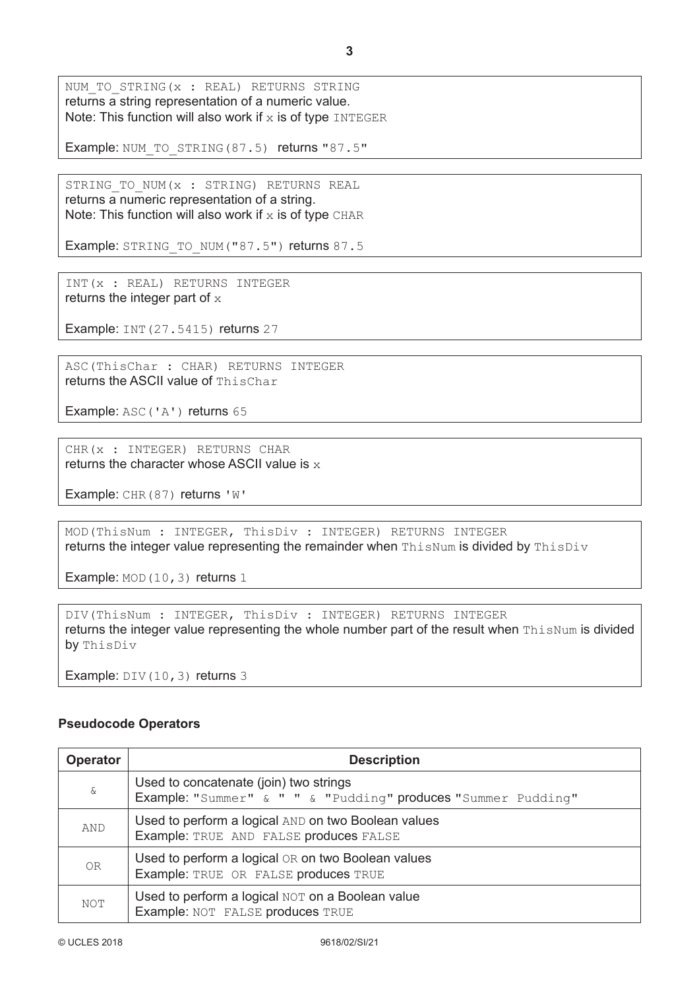Example: NUM\_TO\_STRING(87.5) returns "87.5"

STRING\_TO\_NUM(x : STRING) RETURNS REAL returns a numeric representation of a string. Note: This function will also work if  $x$  is of type CHAR

Example: STRING\_TO\_NUM("87.5") returns 87.5

INT(x : REAL) RETURNS INTEGER returns the integer part of  $x$ 

Example: INT(27.5415) returns 27

ASC(ThisChar : CHAR) RETURNS INTEGER returns the ASCII value of ThisChar

Example: ASC('A') returns 65

CHR(x : INTEGER) RETURNS CHAR returns the character whose ASCII value is  $x$ 

Example: CHR(87) returns 'W'

MOD(ThisNum : INTEGER, ThisDiv : INTEGER) RETURNS INTEGER returns the integer value representing the remainder when ThisNum is divided by ThisDiv

Example: MOD(10,3) returns 1

DIV(ThisNum : INTEGER, ThisDiv : INTEGER) RETURNS INTEGER returns the integer value representing the whole number part of the result when ThisNum is divided by ThisDiv

Example: DIV(10,3) returns 3

### **Pseudocode Operators**

| <b>Operator</b> | <b>Description</b>                                                                                      |
|-----------------|---------------------------------------------------------------------------------------------------------|
| $\delta$        | Used to concatenate (join) two strings<br>Example: "Summer" & " " & "Pudding" produces "Summer Pudding" |
| AND             | Used to perform a logical AND on two Boolean values<br>Example: TRUE AND FALSE produces FALSE           |
| 0 <sub>R</sub>  | Used to perform a logical OR on two Boolean values<br>Example: TRUE OR FALSE produces TRUE              |
| <b>NOT</b>      | Used to perform a logical NOT on a Boolean value<br>Example: NOT FALSE produces TRUE                    |